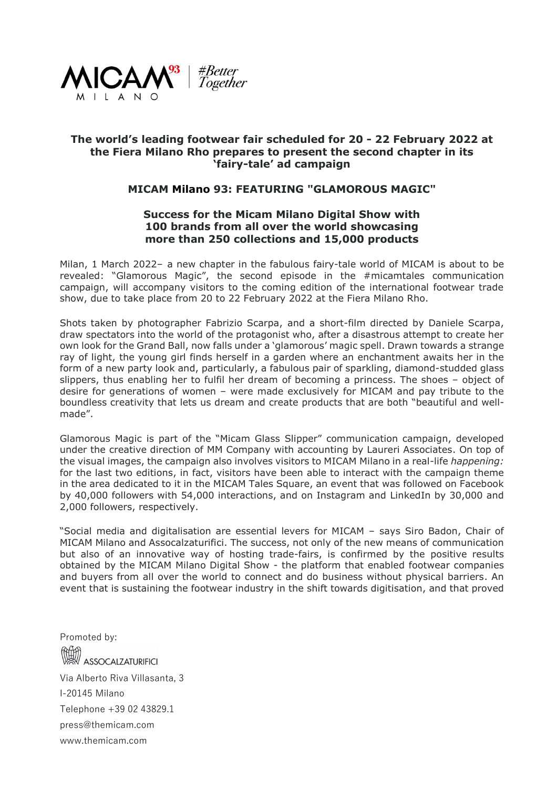

## **The world's leading footwear fair scheduled for 20 - 22 February 2022 at the Fiera Milano Rho prepares to present the second chapter in its 'fairy-tale' ad campaign**

## **MICAM Milano 93: FEATURING "GLAMOROUS MAGIC"**

## **Success for the Micam Milano Digital Show with 100 brands from all over the world showcasing more than 250 collections and 15,000 products**

Milan, 1 March 2022– a new chapter in the fabulous fairy-tale world of MICAM is about to be revealed: "Glamorous Magic", the second episode in the #micamtales communication campaign, will accompany visitors to the coming edition of the international footwear trade show, due to take place from 20 to 22 February 2022 at the Fiera Milano Rho.

Shots taken by photographer Fabrizio Scarpa, and a short-film directed by Daniele Scarpa, draw spectators into the world of the protagonist who, after a disastrous attempt to create her own look for the Grand Ball, now falls under a 'glamorous' magic spell. Drawn towards a strange ray of light, the young girl finds herself in a garden where an enchantment awaits her in the form of a new party look and, particularly, a fabulous pair of sparkling, diamond-studded glass slippers, thus enabling her to fulfil her dream of becoming a princess. The shoes – object of desire for generations of women – were made exclusively for MICAM and pay tribute to the boundless creativity that lets us dream and create products that are both "beautiful and wellmade".

Glamorous Magic is part of the "Micam Glass Slipper" communication campaign, developed under the creative direction of MM Company with accounting by Laureri Associates. On top of the visual images, the campaign also involves visitors to MICAM Milano in a real-life *happening:* for the last two editions, in fact, visitors have been able to interact with the campaign theme in the area dedicated to it in the MICAM Tales Square, an event that was followed on Facebook by 40,000 followers with 54,000 interactions, and on Instagram and LinkedIn by 30,000 and 2,000 followers, respectively.

"Social media and digitalisation are essential levers for MICAM – says Siro Badon, Chair of MICAM Milano and Assocalzaturifici. The success, not only of the new means of communication but also of an innovative way of hosting trade-fairs, is confirmed by the positive results obtained by the MICAM Milano Digital Show - the platform that enabled footwear companies and buyers from all over the world to connect and do business without physical barriers. An event that is sustaining the footwear industry in the shift towards digitisation, and that proved

Promoted by: **ASSOCALZATURIFICI** Via Alberto Riva Villasanta, 3 I-20145 Milano Telephone +39 02 43829.1 press@themicam.com www.themicam.com